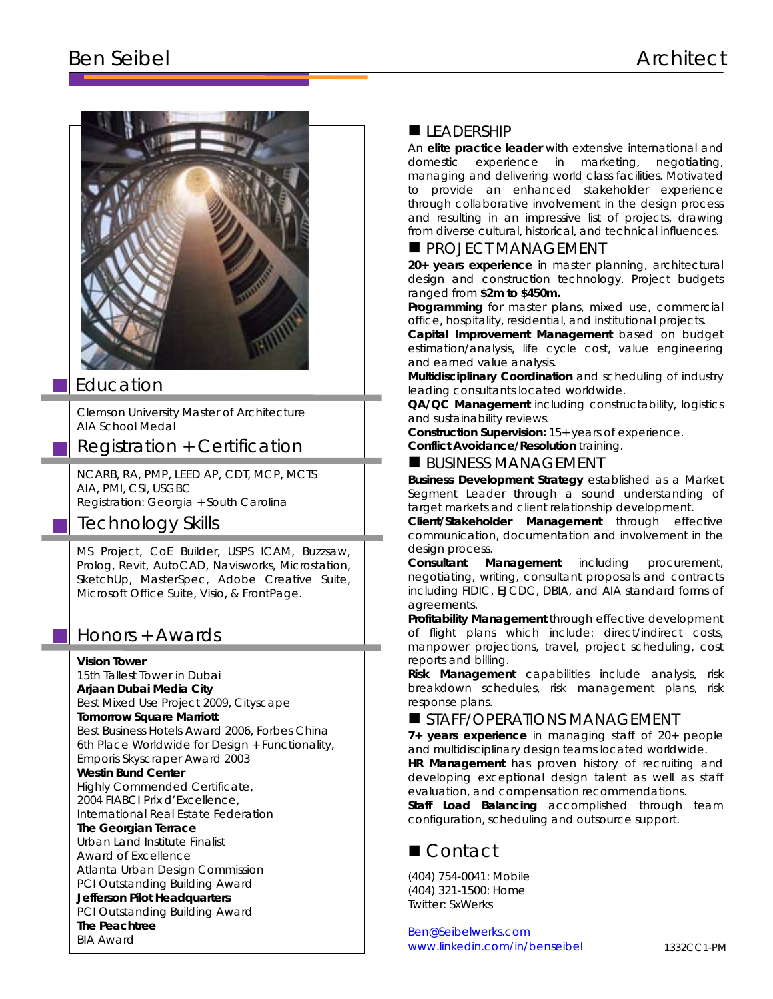# Ben Seibel Architect



## Education

Clemson University Master of Architecture AIA School Medal

# Registration + Certification

NCARB, RA, PMP, LEED AP, CDT, MCP, MCTS AIA, PMI, CSI, USGBC Registration: Georgia + South Carolina

# Technology Skills

MS Project, CoE Builder, USPS ICAM, Buzzsaw, Prolog, Revit, AutoCAD, Navisworks, Microstation, SketchUp, MasterSpec, Adobe Creative Suite, Microsoft Office Suite, Visio, & FrontPage.

## Honors + Awards

### **Vision Tower**

15th Tallest Tower in Dubai **Arjaan Dubai Media City** Best Mixed Use Project 2009, Cityscape **Tomorrow Square Marriott** Best Business Hotels Award 2006, Forbes China 6th Place Worldwide for Design + Functionality, Emporis Skyscraper Award 2003 **Westin Bund Center**

Highly Commended Certificate, 2004 FIABCI Prix d'Excellence, International Real Estate Federation

### **The Georgian Terrace**

Urban Land Institute Finalist Award of Excellence Atlanta Urban Design Commission PCI Outstanding Building Award **Jefferson Pilot Headquarters**

PCI Outstanding Building Award

**The Peachtree** BIA Award

## LEADERSHIP

An **elite practice leader** with extensive international and domestic experience in marketing, negotiating, managing and delivering world class facilities. Motivated to provide an enhanced stakeholder experience through collaborative involvement in the design process and resulting in an impressive list of projects, drawing from diverse cultural, historical, and technical influences.

### **PROJECT MANAGEMENT**

**20+ years experience** in master planning, architectural design and construction technology. Project budgets ranged from **\$2m to \$450m.**

**Programming** for master plans, mixed use, commercial office, hospitality, residential, and institutional projects.

**Capital Improvement Management** based on budget estimation/analysis, life cycle cost, value engineering and earned value analysis.

**Multidisciplinary Coordination** and scheduling of industry leading consultants located worldwide.

**QA/QC Management** including constructability, logistics and sustainability reviews.

**Construction Supervision:** 15+ years of experience.

**Conflict Avoidance/Resolution** training.

### $\blacksquare$  BUSINESS MANAGEMENT

**Business Development Strategy** established as a Market Segment Leader through a sound understanding of target markets and client relationship development.

**Client/Stakeholder Management** through effective communication, documentation and involvement in the design process.

**Consultant Management** including procurement, negotiating, writing, consultant proposals and contracts including FIDIC, EJCDC, DBIA, and AIA standard forms of agreements.

**Profitability Management** through effective development of flight plans which include: direct/indirect costs, manpower projections, travel, project scheduling, cost reports and billing.

**Risk Management** capabilities include analysis, risk breakdown schedules, risk management plans, risk response plans.

### STAFF/OPERATIONS MANAGEMENT

**7+ years experience** in managing staff of 20+ people and multidisciplinary design teams located worldwide.

**HR Management** has proven history of recruiting and developing exceptional design talent as well as staff evaluation, and compensation recommendations.

**Staff Load Balancing** accomplished through team configuration, scheduling and outsource support.

# ■ Contact

(404) 754-0041: Mobile (404) 321-1500: Home Twitter: SxWerks

[Ben@Seibelwerks.com](mailto:Ben@Seibelwerks.com) [www.linkedin.com/in/benseibel](http://www.linkedin.com/in/benseibel)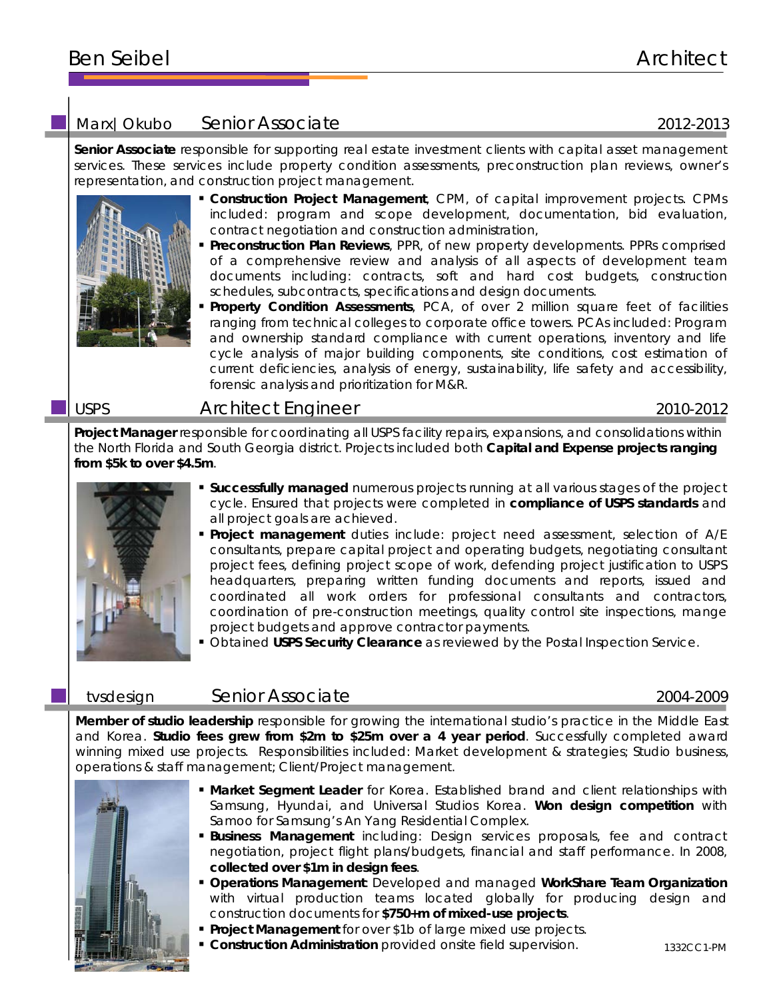# Ben Seibel Architect

# Marx | Okubo Senior Associate 2012-2013

**Senior Associate** responsible for supporting real estate investment clients with capital asset management services. These services include property condition assessments, preconstruction plan reviews, owner's representation, and construction project management.



- **Construction Project Management**, CPM, of capital improvement projects. CPMs included: program and scope development, documentation, bid evaluation, contract negotiation and construction administration,
- **Preconstruction Plan Reviews**, PPR, of new property developments. PPRs comprised of a comprehensive review and analysis of all aspects of development team documents including: contracts, soft and hard cost budgets, construction schedules, subcontracts, specifications and design documents.
- **Property Condition Assessments**, PCA, of over 2 million square feet of facilities ranging from technical colleges to corporate office towers. PCAs included: Program and ownership standard compliance with current operations, inventory and life cycle analysis of major building components, site conditions, cost estimation of current deficiencies, analysis of energy, sustainability, life safety and accessibility, forensic analysis and prioritization for M&R.

## USPS Architect Engineer 2010-2012

**Project Manager** responsible for coordinating all USPS facility repairs, expansions, and consolidations within the North Florida and South Georgia district. Projects included both **Capital and Expense projects ranging from \$5k to over \$4.5m**.



- **Successfully managed** numerous projects running at all various stages of the project cycle. Ensured that projects were completed in **compliance of USPS standards** and all project goals are achieved.
- **Project management** duties include: project need assessment, selection of A/E consultants, prepare capital project and operating budgets, negotiating consultant project fees, defining project scope of work, defending project justification to USPS headquarters, preparing written funding documents and reports, issued and coordinated all work orders for professional consultants and contractors, coordination of pre-construction meetings, quality control site inspections, mange project budgets and approve contractor payments.
- **Obtained USPS Security Clearance** as reviewed by the Postal Inspection Service.

## tvsdesign Senior Associate 2004-2009

**Member of studio leadership** responsible for growing the international studio's practice in the Middle East and Korea. **Studio fees grew from \$2m to \$25m over a 4 year period**. Successfully completed award winning mixed use projects. Responsibilities included: Market development & strategies; Studio business, operations & staff management; Client/Project management.



- **Market Segment Leader** for Korea. Established brand and client relationships with Samsung, Hyundai, and Universal Studios Korea. **Won design competition** with Samoo for Samsung's An Yang Residential Complex.
- **Business Management** including: Design services proposals, fee and contract negotiation, project flight plans/budgets, financial and staff performance. In 2008, **collected over \$1m in design fees**.
- **Operations Management**: Developed and managed **WorkShare Team Organization** with virtual production teams located globally for producing design and construction documents for **\$750+m of mixed-use projects**.
- **Project Management** for over \$1b of large mixed use projects.
- **Construction Administration** provided onsite field supervision.